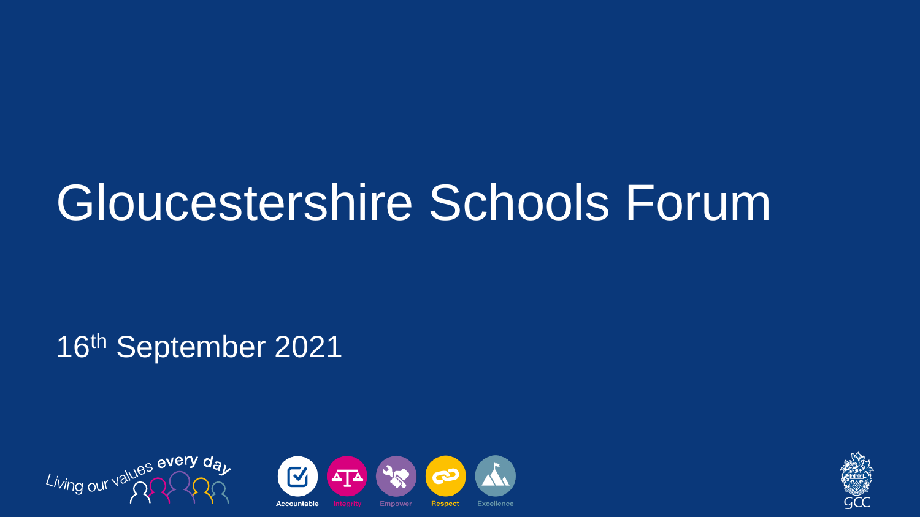#### Gloucestershire Schools Forum

16th September 2021

Living our values every



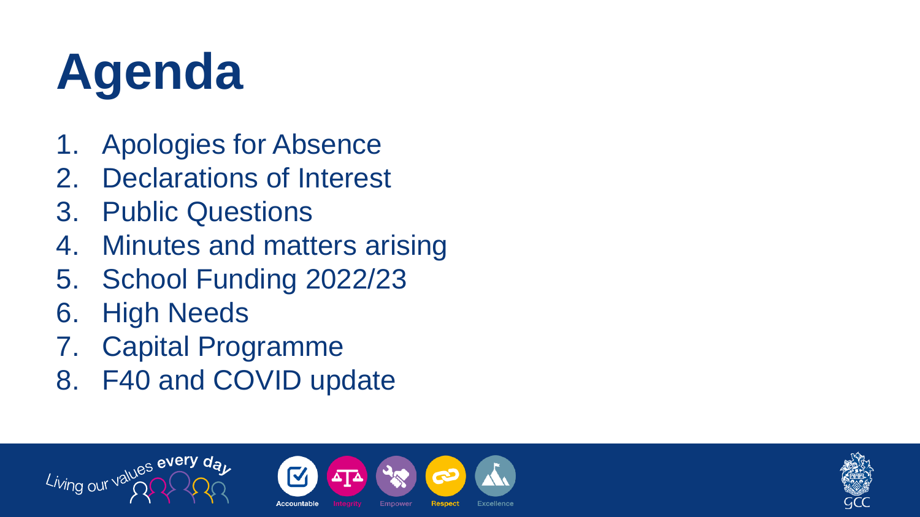## **Agenda**

- 1. Apologies for Absence
- 2. Declarations of Interest
- 3. Public Questions
- 4. Minutes and matters arising
- 5. School Funding 2022/23
- 6. High Needs

Living our values every of

- 7. Capital Programme
- 8. F40 and COVID update



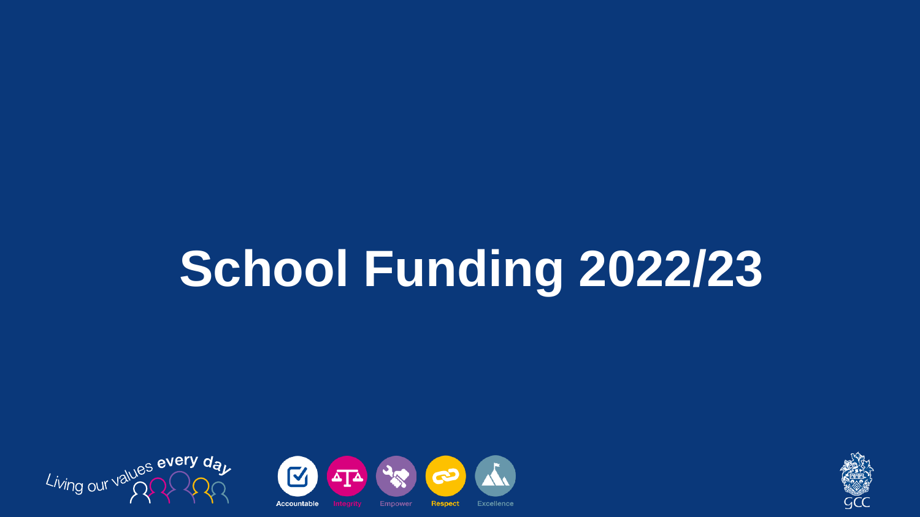#### **School Funding 2022/23**





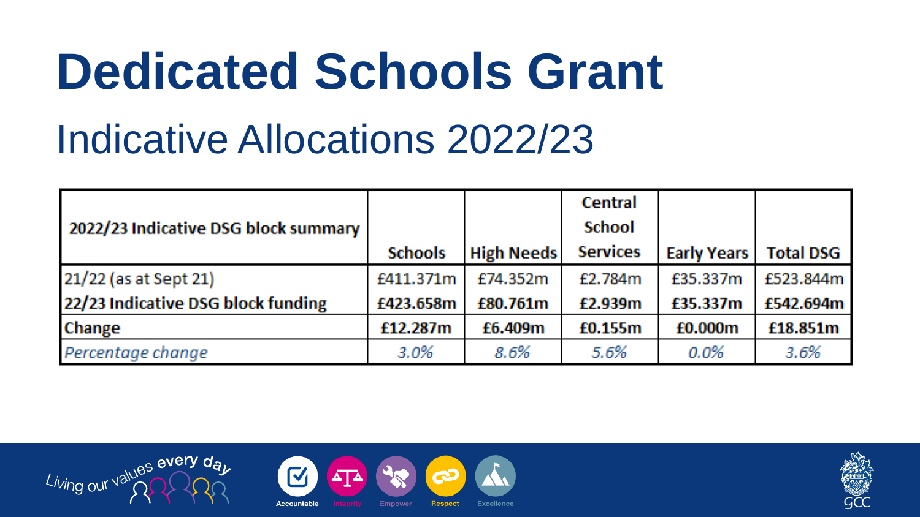#### **Dedicated Schools Grant** Indicative Allocations 2022/23

|                                      |                |                   | <b>Central</b>  |                    |                  |
|--------------------------------------|----------------|-------------------|-----------------|--------------------|------------------|
| 2022/23 Indicative DSG block summary |                |                   | <b>School</b>   |                    |                  |
|                                      | <b>Schools</b> | <b>High Needs</b> | <b>Services</b> | <b>Early Years</b> | <b>Total DSG</b> |
| 21/22 (as at Sept 21)                | £411.371m      | £74.352m          | £2.784m         | £35.337m           | £523.844m        |
| 22/23 Indicative DSG block funding   | £423.658m      | £80.761m          | £2.939m         | £35.337m           | £542.694m        |
| <b>Change</b>                        | £12.287m       | £6.409m           | £0.155m         | £0.000m            | £18.851m         |
| Percentage change                    | 3.0%           | 8.6%              | 5.6%            | $0.0\%$            | 3.6%             |





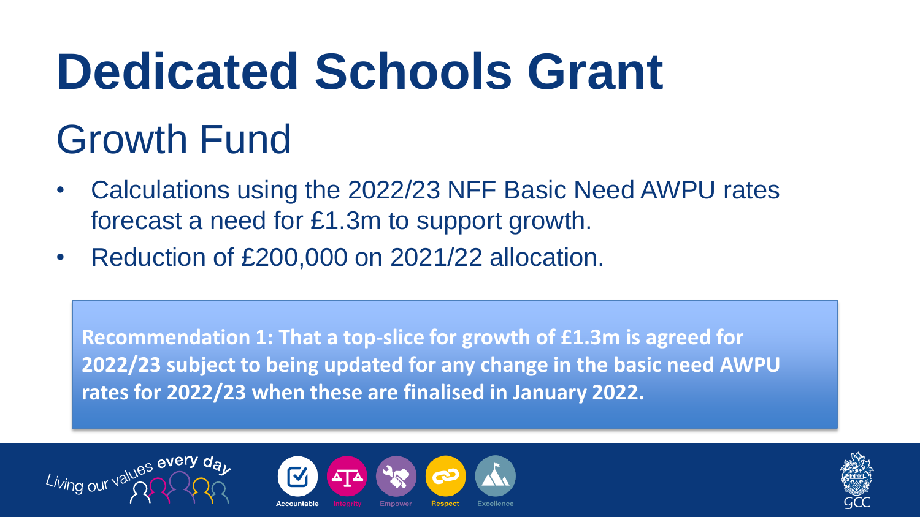# **Dedicated Schools Grant**

#### Growth Fund

- Calculations using the 2022/23 NFF Basic Need AWPU rates forecast a need for £1.3m to support growth.
- Reduction of £200,000 on 2021/22 allocation.

**Recommendation 1: That a top-slice for growth of £1.3m is agreed for 2022/23 subject to being updated for any change in the basic need AWPU rates for 2022/23 when these are finalised in January 2022.**





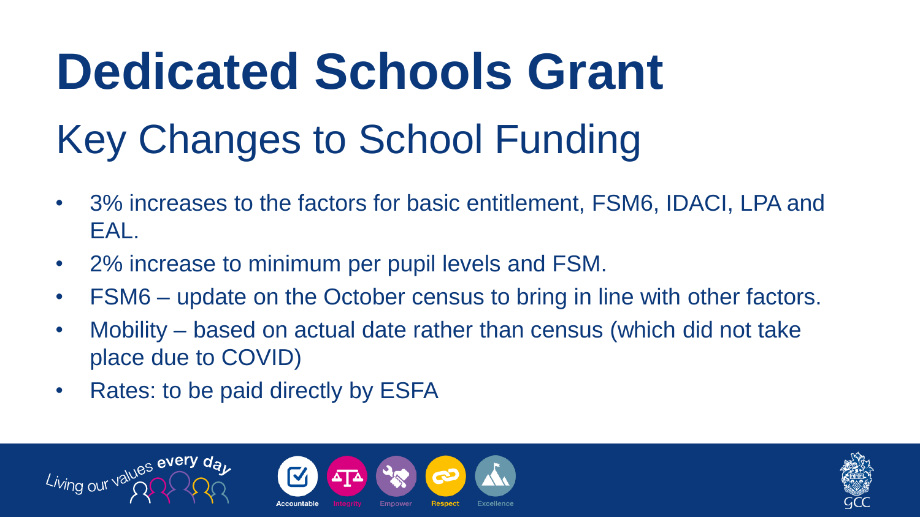## **Dedicated Schools Grant** Key Changes to School Funding

- 3% increases to the factors for basic entitlement, FSM6, IDACI, LPA and EAL.
- 2% increase to minimum per pupil levels and FSM.
- FSM6 update on the October census to bring in line with other factors.
- Mobility based on actual date rather than census (which did not take place due to COVID)
- Rates: to be paid directly by ESFA





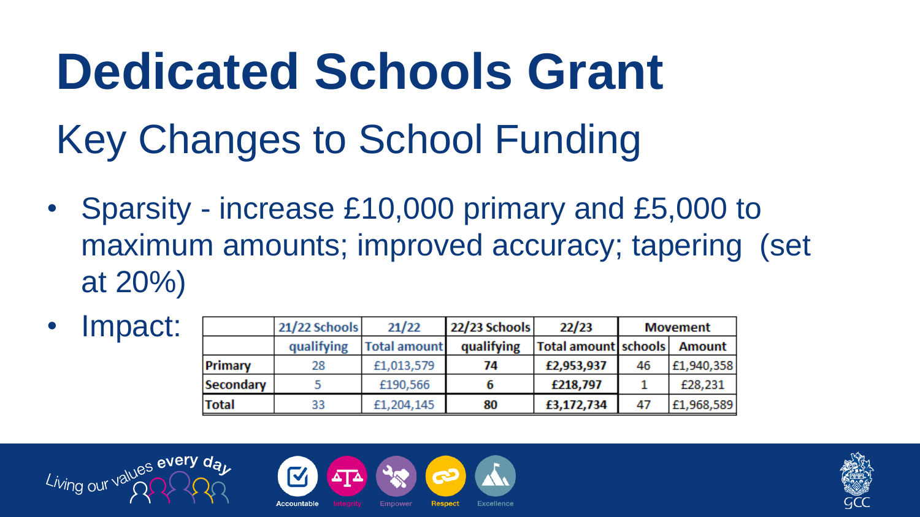#### **Dedicated Schools Grant** Key Changes to School Funding

• Sparsity - increase £10,000 primary and £5,000 to maximum amounts; improved accuracy; tapering (set at 20%)

| Impact: |                  | 21/22 Schools | 21/22               | 22/23 Schools | 22/23                         | <b>Movement</b> |            |
|---------|------------------|---------------|---------------------|---------------|-------------------------------|-----------------|------------|
|         |                  | qualifying    | <b>Total amount</b> | qualifying    | Total amount schools   Amount |                 |            |
|         | Primary          | 28            | £1,013,579          | 74            | £2,953,937                    | 46              | £1,940,358 |
|         | <b>Secondary</b> |               | £190,566            |               | £218,797                      |                 | £28,231    |
|         | Total            | 33            | £1,204,145          | 80            | £3,172,734                    | 47              | £1,968,589 |





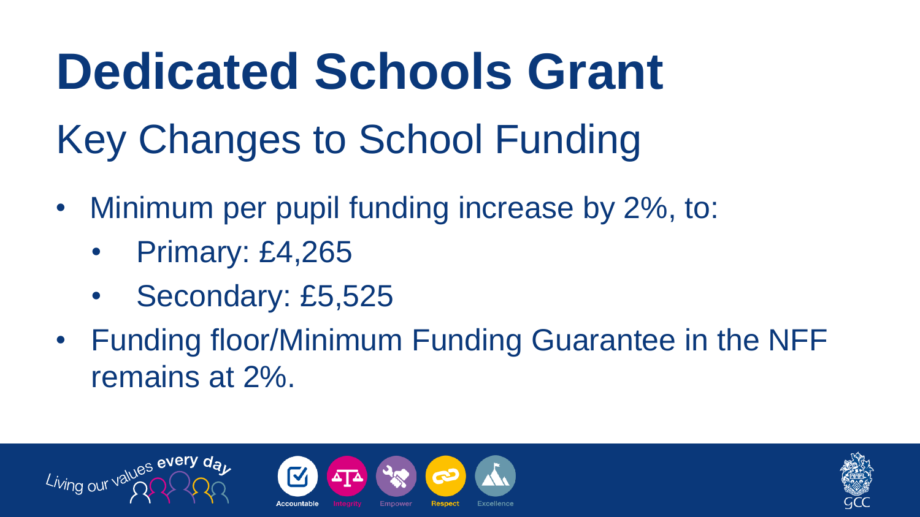#### **Dedicated Schools Grant** Key Changes to School Funding

- Minimum per pupil funding increase by 2%, to:
	- Primary: £4,265
	- Secondary: £5,525
- Funding floor/Minimum Funding Guarantee in the NFF remains at 2%.





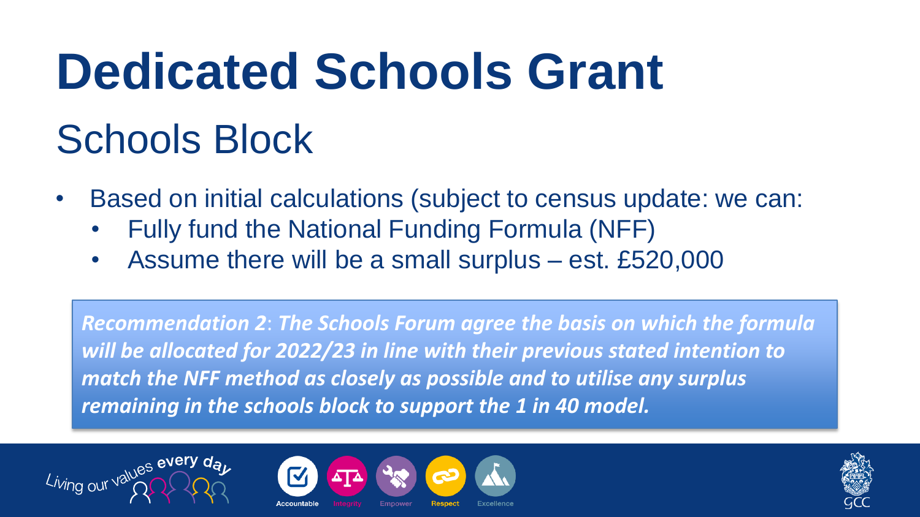# **Dedicated Schools Grant**

#### Schools Block

- Based on initial calculations (subject to census update: we can:
	- Fully fund the National Funding Formula (NFF)
	- Assume there will be a small surplus est. £520,000

*Recommendation 2*: *The Schools Forum agree the basis on which the formula will be allocated for 2022/23 in line with their previous stated intention to match the NFF method as closely as possible and to utilise any surplus remaining in the schools block to support the 1 in 40 model.*





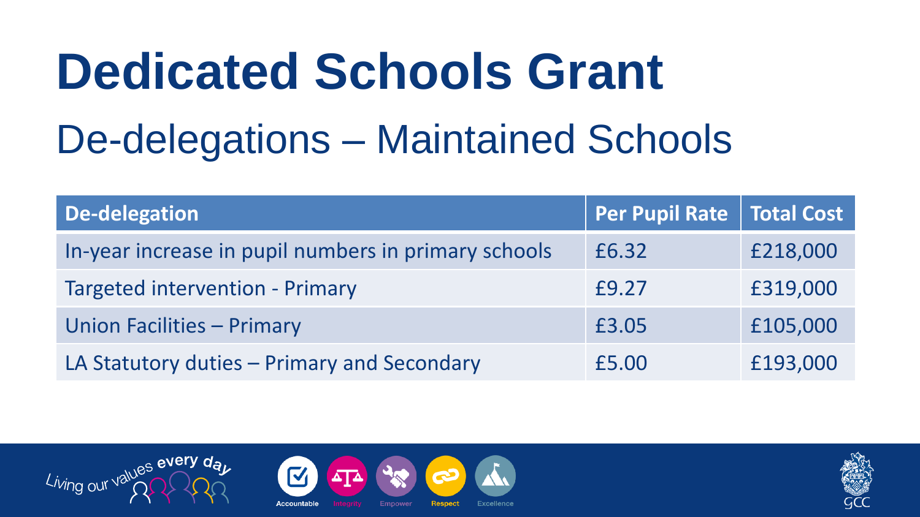#### **Dedicated Schools Grant** De-delegations – Maintained Schools

| De-delegation                                        | Per Pupil Rate   Total Cost |          |
|------------------------------------------------------|-----------------------------|----------|
| In-year increase in pupil numbers in primary schools | £6.32                       | £218,000 |
| <b>Targeted intervention - Primary</b>               | £9.27                       | £319,000 |
| Union Facilities - Primary                           | £3.05                       | £105,000 |
| LA Statutory duties - Primary and Secondary          | £5.00                       | £193,000 |





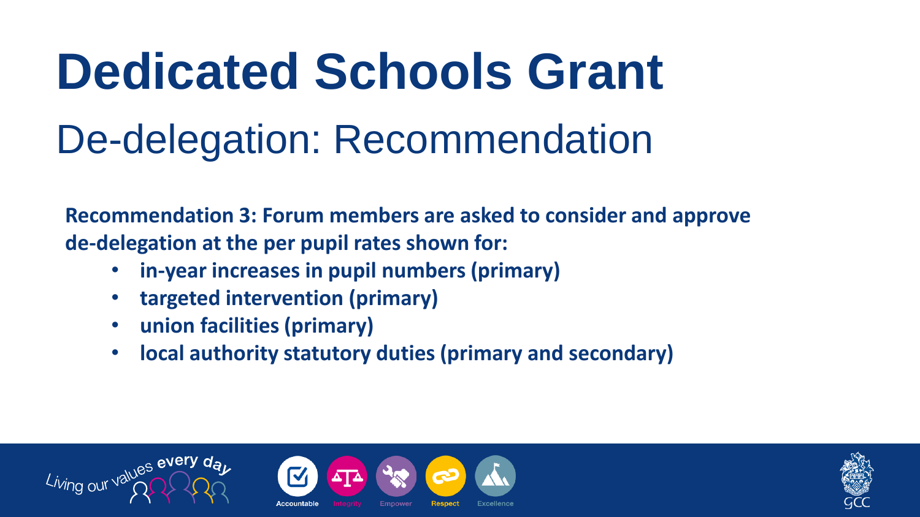#### **Dedicated Schools Grant** De-delegation: Recommendation

**Recommendation 3: Forum members are asked to consider and approve de-delegation at the per pupil rates shown for:**

- **in-year increases in pupil numbers (primary)**
- **targeted intervention (primary)**
- **union facilities (primary)**
- **local authority statutory duties (primary and secondary)**





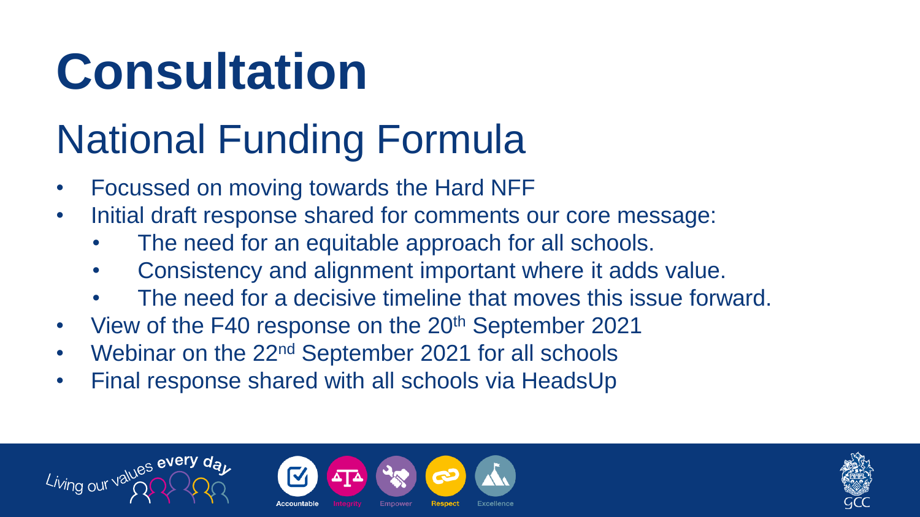#### **Consultation**

#### National Funding Formula

- Focussed on moving towards the Hard NFF
- Initial draft response shared for comments our core message:
	- The need for an equitable approach for all schools.
	- Consistency and alignment important where it adds value.
	- The need for a decisive timeline that moves this issue forward.
- View of the F40 response on the 20<sup>th</sup> September 2021
- Webinar on the 22nd September 2021 for all schools
- Final response shared with all schools via HeadsUp





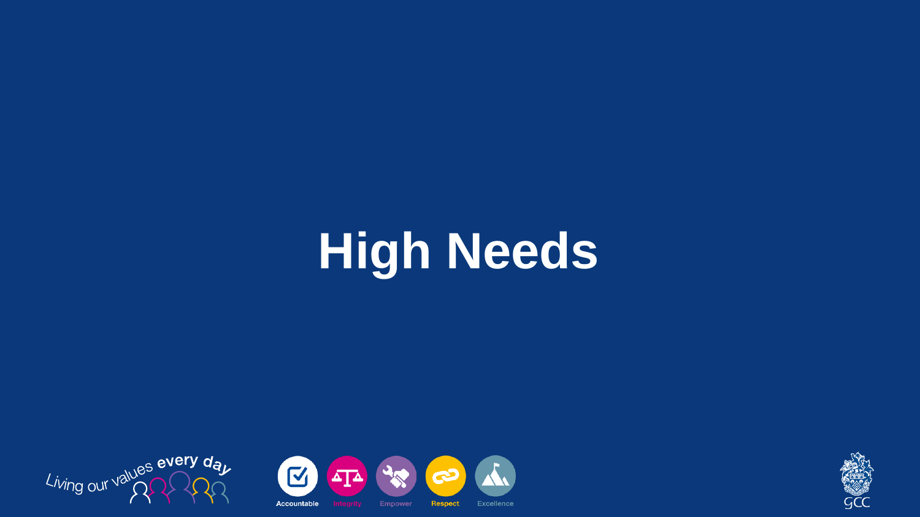#### **High Needs**





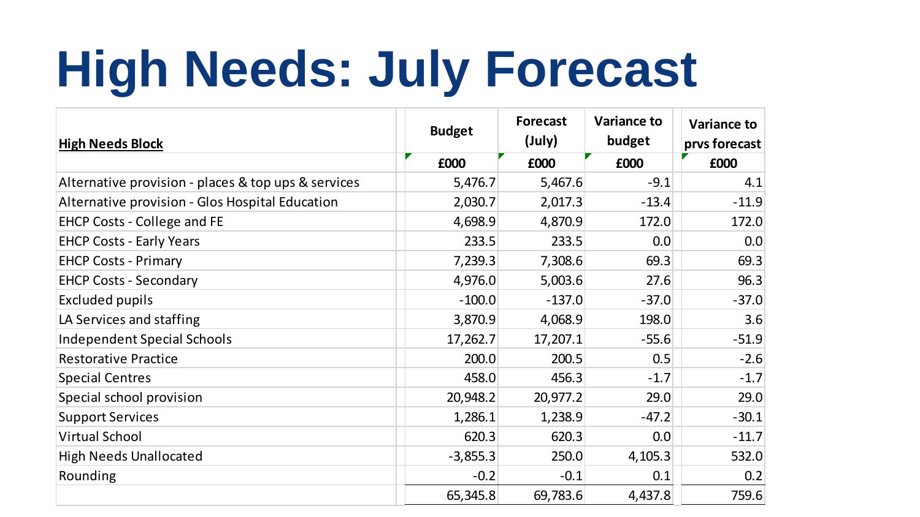#### **High Needs: July Forecast**

| <b>High Needs Block</b>                             | <b>Budget</b> | <b>Forecast</b><br>(July) | <b>Variance to</b><br>budget | Variance to<br>prvs forecast |
|-----------------------------------------------------|---------------|---------------------------|------------------------------|------------------------------|
|                                                     | £000          | £000                      | £000                         | £000                         |
| Alternative provision - places & top ups & services | 5,476.7       | 5,467.6                   | $-9.1$                       | 4.1                          |
| Alternative provision - Glos Hospital Education     | 2,030.7       | 2,017.3                   | $-13.4$                      | $-11.9$                      |
| EHCP Costs - College and FE                         | 4,698.9       | 4,870.9                   | 172.0                        | 172.0                        |
| <b>EHCP Costs - Early Years</b>                     | 233.5         | 233.5                     | 0.0                          | 0.0                          |
| <b>EHCP Costs - Primary</b>                         | 7,239.3       | 7,308.6                   | 69.3                         | 69.3                         |
| <b>EHCP Costs - Secondary</b>                       | 4,976.0       | 5,003.6                   | 27.6                         | 96.3                         |
| Excluded pupils                                     | $-100.0$      | $-137.0$                  | $-37.0$                      | $-37.0$                      |
| LA Services and staffing                            | 3,870.9       | 4,068.9                   | 198.0                        | 3.6                          |
| <b>Independent Special Schools</b>                  | 17,262.7      | 17,207.1                  | $-55.6$                      | $-51.9$                      |
| <b>Restorative Practice</b>                         | 200.0         | 200.5                     | 0.5                          | $-2.6$                       |
| <b>Special Centres</b>                              | 458.0         | 456.3                     | $-1.7$                       | $-1.7$                       |
| Special school provision                            | 20,948.2      | 20,977.2                  | 29.0                         | 29.0                         |
| <b>Support Services</b>                             | 1,286.1       | 1,238.9                   | $-47.2$                      | $-30.1$                      |
| <b>Virtual School</b>                               | 620.3         | 620.3                     | 0.0                          | $-11.7$                      |
| <b>High Needs Unallocated</b>                       | $-3,855.3$    | 250.0                     | 4,105.3                      | 532.0                        |
| Rounding                                            | $-0.2$        | $-0.1$                    | 0.1                          | 0.2                          |
|                                                     | 65,345.8      | 69,783.6                  | 4,437.8                      | 759.6                        |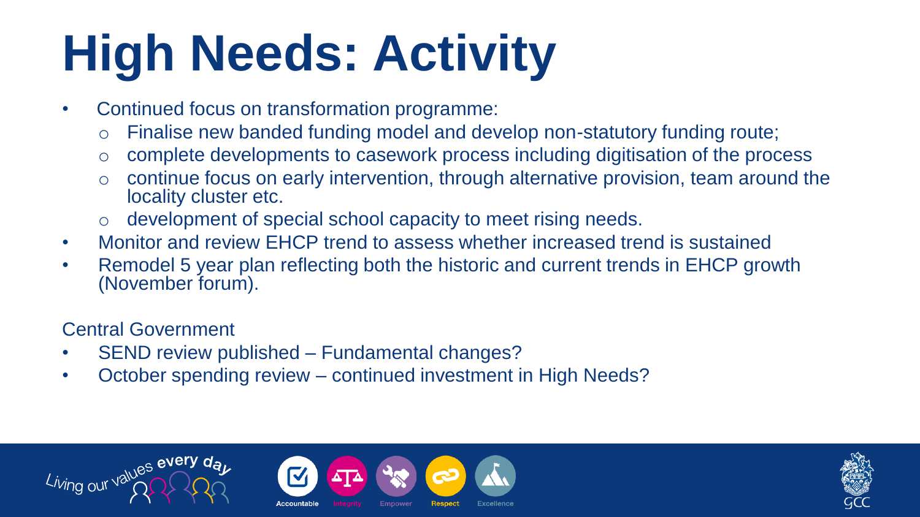### **High Needs: Activity**

- Continued focus on transformation programme:
	- o Finalise new banded funding model and develop non-statutory funding route;
	- o complete developments to casework process including digitisation of the process
	- o continue focus on early intervention, through alternative provision, team around the locality cluster etc.
	- development of special school capacity to meet rising needs.
- Monitor and review EHCP trend to assess whether increased trend is sustained
- Remodel 5 year plan reflecting both the historic and current trends in EHCP growth (November forum).

Central Government

- SEND review published Fundamental changes?
- October spending review continued investment in High Needs?





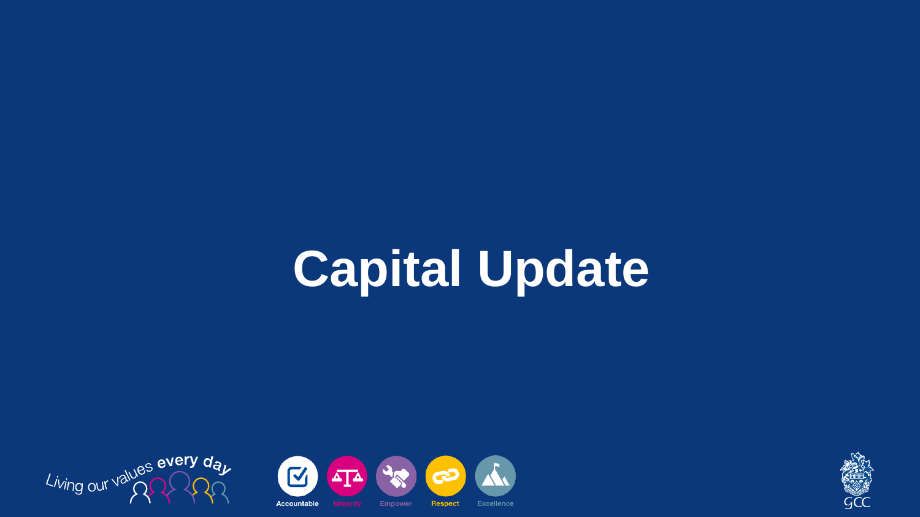## **Capital Update**





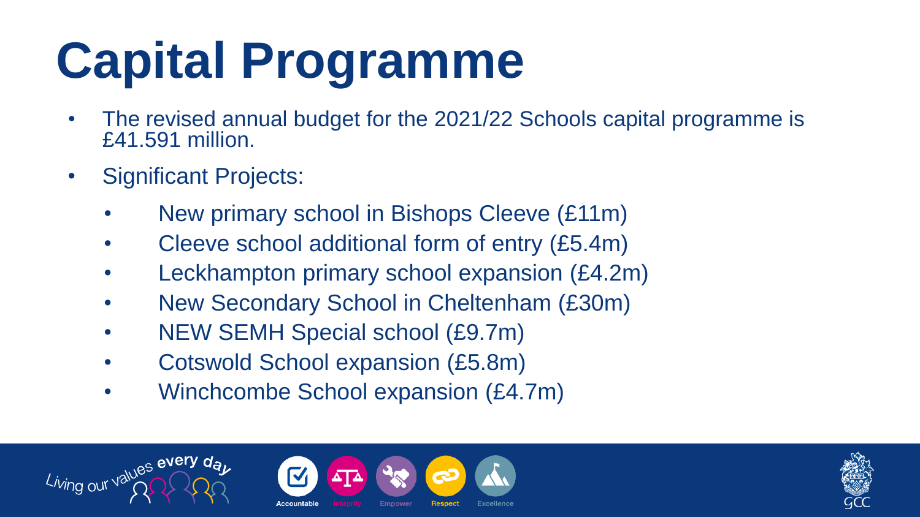## **Capital Programme**

- The revised annual budget for the 2021/22 Schools capital programme is £41.591 million.
- Significant Projects:
	- New primary school in Bishops Cleeve (£11m)
	- Cleeve school additional form of entry (£5.4m)
	- Leckhampton primary school expansion (£4.2m)
	- New Secondary School in Cheltenham (£30m)
	- NEW SEMH Special school (£9.7m)
	- Cotswold School expansion (£5.8m)
	- Winchcombe School expansion (£4.7m)





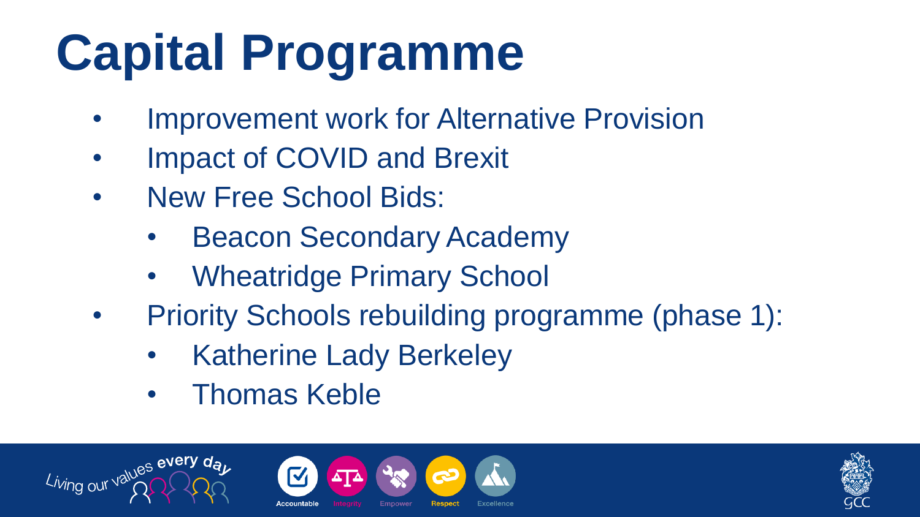## **Capital Programme**

- Improvement work for Alternative Provision
- Impact of COVID and Brexit
- New Free School Bids:
	- **Beacon Secondary Academy**
	- Wheatridge Primary School
- Priority Schools rebuilding programme (phase 1):
	- **Katherine Lady Berkeley**
	- Thomas Keble





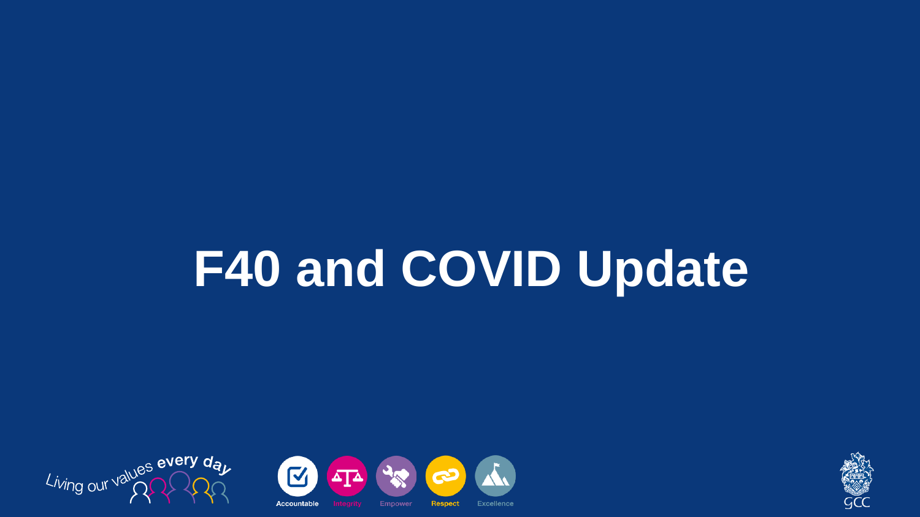### **F40 and COVID Update**





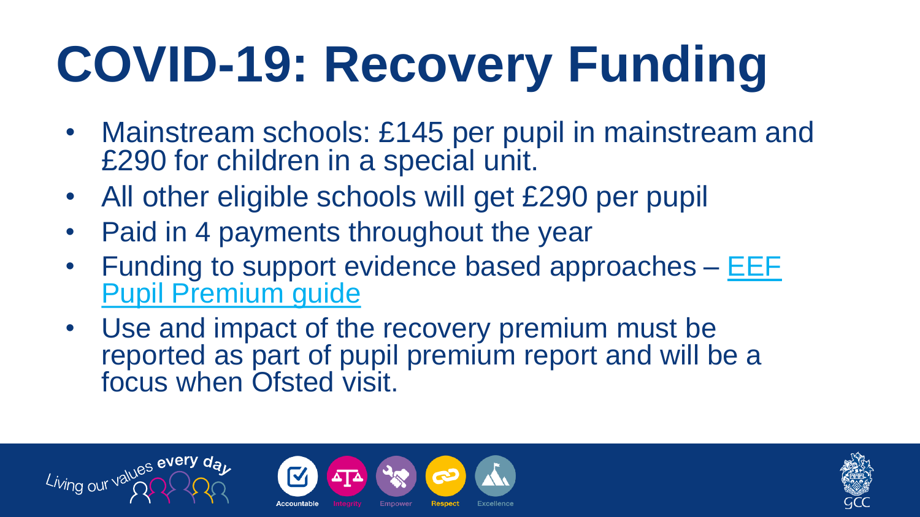### **COVID-19: Recovery Funding**

- Mainstream schools: £145 per pupil in mainstream and £290 for children in a special unit.
- All other eligible schools will get £290 per pupil
- Paid in 4 payments throughout the year
- Funding to support evidence based approaches [EEF](https://educationendowmentfoundation.org.uk/evidence-summaries/pupil-premium-guide/)  [Pupil Premium guide](https://educationendowmentfoundation.org.uk/evidence-summaries/pupil-premium-guide/)
- Use and impact of the recovery premium must be reported as part of pupil premium report and will be a focus when Ofsted visit.